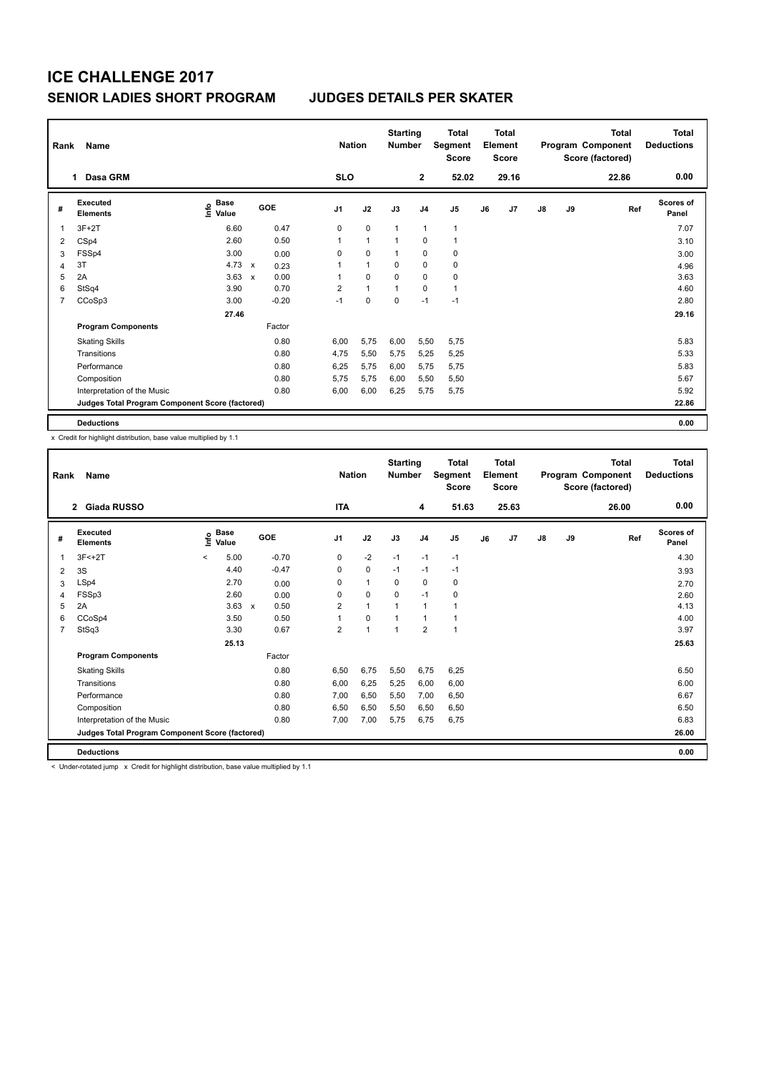|   | Rank<br>Name                                    |                                  |                           |            |                | <b>Starting</b><br><b>Nation</b><br><b>Number</b> |              |                | <b>Total</b><br>Segment<br>Score |    | <b>Total</b><br>Element<br>Score |    |    | <b>Total</b><br>Program Component<br>Score (factored) | <b>Total</b><br><b>Deductions</b> |
|---|-------------------------------------------------|----------------------------------|---------------------------|------------|----------------|---------------------------------------------------|--------------|----------------|----------------------------------|----|----------------------------------|----|----|-------------------------------------------------------|-----------------------------------|
|   | Dasa GRM<br>1                                   |                                  |                           |            | <b>SLO</b>     |                                                   |              | $\mathbf{2}$   | 52.02                            |    | 29.16                            |    |    | 22.86                                                 | 0.00                              |
| # | Executed<br><b>Elements</b>                     | <b>Base</b><br>e Base<br>⊆ Value |                           | <b>GOE</b> | J <sub>1</sub> | J2                                                | J3           | J <sub>4</sub> | J <sub>5</sub>                   | J6 | J7                               | J8 | J9 | Ref                                                   | <b>Scores of</b><br>Panel         |
|   | $3F+2T$                                         | 6.60                             |                           | 0.47       | 0              | $\mathbf 0$                                       | $\mathbf{1}$ | $\overline{1}$ | 1                                |    |                                  |    |    |                                                       | 7.07                              |
| 2 | CSp4                                            | 2.60                             |                           | 0.50       | 1              | $\mathbf{1}$                                      | 1            | 0              |                                  |    |                                  |    |    |                                                       | 3.10                              |
| 3 | FSSp4                                           | 3.00                             |                           | 0.00       | 0              | $\mathbf 0$                                       | 1            | 0              | 0                                |    |                                  |    |    |                                                       | 3.00                              |
| 4 | 3T                                              | 4.73                             | $\boldsymbol{\mathsf{x}}$ | 0.23       |                | $\mathbf{1}$                                      | 0            | 0              | 0                                |    |                                  |    |    |                                                       | 4.96                              |
| 5 | 2A                                              | 3.63                             | $\mathsf{x}$              | 0.00       | 1              | 0                                                 | $\Omega$     | 0              | 0                                |    |                                  |    |    |                                                       | 3.63                              |
| 6 | StSq4                                           | 3.90                             |                           | 0.70       | $\overline{2}$ | $\mathbf{1}$                                      | 1            | $\Omega$       | $\mathbf{1}$                     |    |                                  |    |    |                                                       | 4.60                              |
| 7 | CCoSp3                                          | 3.00                             |                           | $-0.20$    | $-1$           | $\mathbf 0$                                       | $\mathbf 0$  | $-1$           | $-1$                             |    |                                  |    |    |                                                       | 2.80                              |
|   |                                                 | 27.46                            |                           |            |                |                                                   |              |                |                                  |    |                                  |    |    |                                                       | 29.16                             |
|   | <b>Program Components</b>                       |                                  |                           | Factor     |                |                                                   |              |                |                                  |    |                                  |    |    |                                                       |                                   |
|   | <b>Skating Skills</b>                           |                                  |                           | 0.80       | 6,00           | 5,75                                              | 6,00         | 5,50           | 5,75                             |    |                                  |    |    |                                                       | 5.83                              |
|   | Transitions                                     |                                  |                           | 0.80       | 4,75           | 5,50                                              | 5,75         | 5,25           | 5,25                             |    |                                  |    |    |                                                       | 5.33                              |
|   | Performance                                     |                                  |                           | 0.80       | 6,25           | 5,75                                              | 6,00         | 5,75           | 5,75                             |    |                                  |    |    |                                                       | 5.83                              |
|   | Composition                                     |                                  |                           | 0.80       | 5,75           | 5,75                                              | 6,00         | 5,50           | 5,50                             |    |                                  |    |    |                                                       | 5.67                              |
|   | Interpretation of the Music                     |                                  |                           | 0.80       | 6,00           | 6,00                                              | 6,25         | 5,75           | 5,75                             |    |                                  |    |    |                                                       | 5.92                              |
|   | Judges Total Program Component Score (factored) |                                  |                           |            |                |                                                   |              |                |                                  |    |                                  |    |    |                                                       | 22.86                             |
|   | <b>Deductions</b>                               |                                  |                           |            |                |                                                   |              |                |                                  |    |                                  |    |    |                                                       | 0.00                              |

x Credit for highlight distribution, base value multiplied by 1.1

| Rank           | Name                                            |         |                      |              |         |                | <b>Nation</b>  | <b>Starting</b><br><b>Number</b> |                | Total<br>Segment<br><b>Score</b> |    | Total<br>Element<br><b>Score</b> |    |    | Total<br>Program Component<br>Score (factored) | Total<br><b>Deductions</b> |
|----------------|-------------------------------------------------|---------|----------------------|--------------|---------|----------------|----------------|----------------------------------|----------------|----------------------------------|----|----------------------------------|----|----|------------------------------------------------|----------------------------|
|                | <b>Giada RUSSO</b><br>$\mathbf{2}$              |         |                      |              |         | <b>ITA</b>     |                |                                  | 4              | 51.63                            |    | 25.63                            |    |    | 26.00                                          | 0.00                       |
| #              | Executed<br><b>Elements</b>                     | ١nf٥    | <b>Base</b><br>Value |              | GOE     | J <sub>1</sub> | J2             | J3                               | J <sub>4</sub> | J5                               | J6 | J7                               | J8 | J9 | Ref                                            | Scores of<br>Panel         |
| 1              | $3F < +2T$                                      | $\prec$ | 5.00                 |              | $-0.70$ | 0              | $-2$           | $-1$                             | $-1$           | $-1$                             |    |                                  |    |    |                                                | 4.30                       |
| 2              | 3S                                              |         | 4.40                 |              | $-0.47$ | 0              | $\mathbf 0$    | $-1$                             | $-1$           | $-1$                             |    |                                  |    |    |                                                | 3.93                       |
| 3              | LSp4                                            |         | 2.70                 |              | 0.00    | 0              | $\mathbf{1}$   | 0                                | $\mathbf 0$    | 0                                |    |                                  |    |    |                                                | 2.70                       |
| 4              | FSSp3                                           |         | 2.60                 |              | 0.00    | 0              | $\mathbf 0$    | $\mathbf 0$                      | $-1$           | 0                                |    |                                  |    |    |                                                | 2.60                       |
| 5              | 2A                                              |         | 3.63                 | $\mathsf{x}$ | 0.50    | 2              | $\mathbf{1}$   |                                  | $\mathbf{1}$   | 1                                |    |                                  |    |    |                                                | 4.13                       |
| 6              | CCoSp4                                          |         | 3.50                 |              | 0.50    |                | $\mathbf 0$    |                                  | 1              |                                  |    |                                  |    |    |                                                | 4.00                       |
| $\overline{7}$ | StSq3                                           |         | 3.30                 |              | 0.67    | $\overline{2}$ | $\overline{ }$ | 1                                | $\overline{2}$ | 1                                |    |                                  |    |    |                                                | 3.97                       |
|                |                                                 |         | 25.13                |              |         |                |                |                                  |                |                                  |    |                                  |    |    |                                                | 25.63                      |
|                | <b>Program Components</b>                       |         |                      |              | Factor  |                |                |                                  |                |                                  |    |                                  |    |    |                                                |                            |
|                | <b>Skating Skills</b>                           |         |                      |              | 0.80    | 6.50           | 6,75           | 5,50                             | 6,75           | 6,25                             |    |                                  |    |    |                                                | 6.50                       |
|                | Transitions                                     |         |                      |              | 0.80    | 6,00           | 6,25           | 5,25                             | 6,00           | 6,00                             |    |                                  |    |    |                                                | 6.00                       |
|                | Performance                                     |         |                      |              | 0.80    | 7,00           | 6,50           | 5,50                             | 7,00           | 6,50                             |    |                                  |    |    |                                                | 6.67                       |
|                | Composition                                     |         |                      |              | 0.80    | 6,50           | 6,50           | 5,50                             | 6,50           | 6,50                             |    |                                  |    |    |                                                | 6.50                       |
|                | Interpretation of the Music                     |         |                      |              | 0.80    | 7,00           | 7,00           | 5,75                             | 6,75           | 6,75                             |    |                                  |    |    |                                                | 6.83                       |
|                | Judges Total Program Component Score (factored) |         |                      |              |         |                |                |                                  |                |                                  |    |                                  |    |    |                                                | 26.00                      |
|                | <b>Deductions</b>                               |         |                      |              |         |                |                |                                  |                |                                  |    |                                  |    |    |                                                | 0.00                       |

< Under-rotated jump x Credit for highlight distribution, base value multiplied by 1.1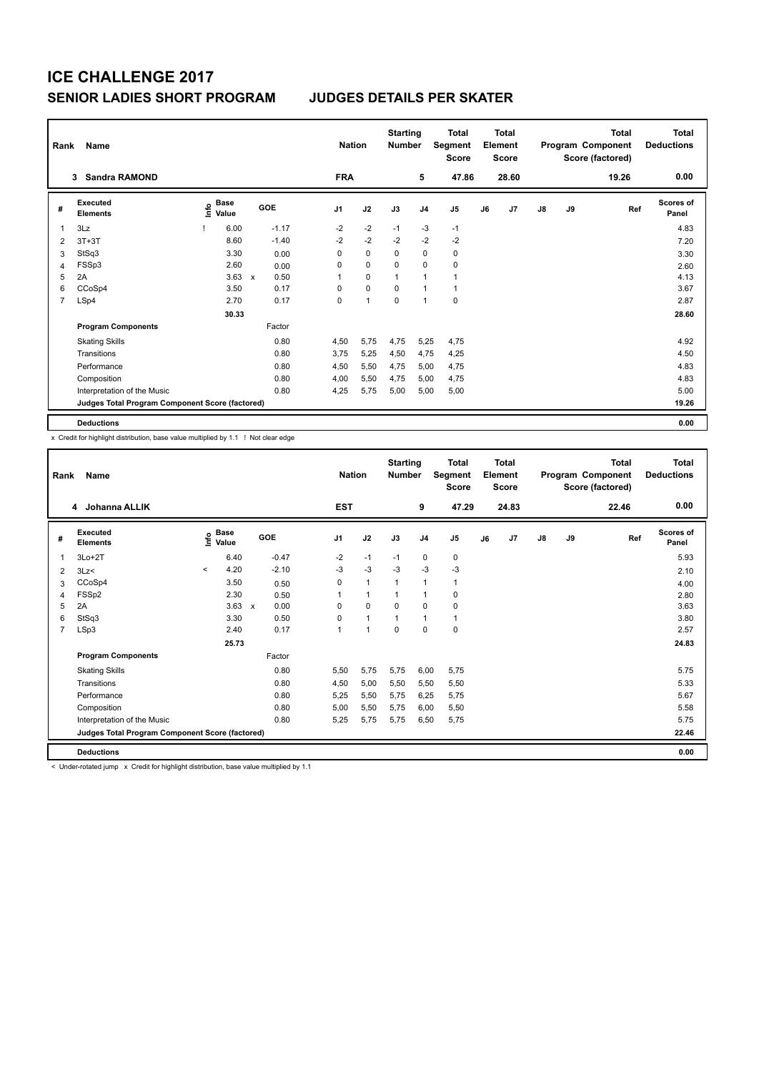|                | Rank<br>Name                                    |  |                           |              |         |                | <b>Nation</b> |             |                | <b>Total</b><br>Segment<br>Score |    | <b>Total</b><br>Element<br><b>Score</b> |               |    | <b>Total</b><br>Program Component<br>Score (factored) | <b>Total</b><br><b>Deductions</b> |
|----------------|-------------------------------------------------|--|---------------------------|--------------|---------|----------------|---------------|-------------|----------------|----------------------------------|----|-----------------------------------------|---------------|----|-------------------------------------------------------|-----------------------------------|
|                | <b>Sandra RAMOND</b><br>3                       |  |                           |              |         | <b>FRA</b>     |               |             | 5              | 47.86                            |    | 28.60                                   |               |    | 19.26                                                 | 0.00                              |
| #              | <b>Executed</b><br><b>Elements</b>              |  | Base<br>o Base<br>⊆ Value |              | GOE     | J <sub>1</sub> | J2            | J3          | J <sub>4</sub> | J5                               | J6 | J7                                      | $\mathsf{J}8$ | J9 | Ref                                                   | Scores of<br>Panel                |
| 1              | 3Lz                                             |  | 6.00                      |              | $-1.17$ | $-2$           | $-2$          | $-1$        | $-3$           | $-1$                             |    |                                         |               |    |                                                       | 4.83                              |
| 2              | $3T+3T$                                         |  | 8.60                      |              | $-1.40$ | $-2$           | $-2$          | $-2$        | $-2$           | $-2$                             |    |                                         |               |    |                                                       | 7.20                              |
| 3              | StSq3                                           |  | 3.30                      |              | 0.00    | 0              | 0             | 0           | 0              | 0                                |    |                                         |               |    |                                                       | 3.30                              |
| 4              | FSSp3                                           |  | 2.60                      |              | 0.00    | 0              | $\mathbf 0$   | 0           | $\mathbf 0$    | $\pmb{0}$                        |    |                                         |               |    |                                                       | 2.60                              |
| 5              | 2A                                              |  | 3.63                      | $\mathsf{x}$ | 0.50    | 1              | 0             | 1           | 1              | 1                                |    |                                         |               |    |                                                       | 4.13                              |
| 6              | CCoSp4                                          |  | 3.50                      |              | 0.17    | 0              | $\mathbf 0$   | 0           | $\overline{1}$ | $\mathbf{1}$                     |    |                                         |               |    |                                                       | 3.67                              |
| $\overline{7}$ | LSp4                                            |  | 2.70                      |              | 0.17    | 0              | 1             | $\mathbf 0$ | $\overline{1}$ | 0                                |    |                                         |               |    |                                                       | 2.87                              |
|                |                                                 |  | 30.33                     |              |         |                |               |             |                |                                  |    |                                         |               |    |                                                       | 28.60                             |
|                | <b>Program Components</b>                       |  |                           |              | Factor  |                |               |             |                |                                  |    |                                         |               |    |                                                       |                                   |
|                | <b>Skating Skills</b>                           |  |                           |              | 0.80    | 4,50           | 5,75          | 4,75        | 5,25           | 4,75                             |    |                                         |               |    |                                                       | 4.92                              |
|                | Transitions                                     |  |                           |              | 0.80    | 3.75           | 5,25          | 4,50        | 4,75           | 4,25                             |    |                                         |               |    |                                                       | 4.50                              |
|                | Performance                                     |  |                           |              | 0.80    | 4,50           | 5,50          | 4.75        | 5,00           | 4,75                             |    |                                         |               |    |                                                       | 4.83                              |
|                | Composition                                     |  |                           |              | 0.80    | 4,00           | 5,50          | 4,75        | 5,00           | 4,75                             |    |                                         |               |    |                                                       | 4.83                              |
|                | Interpretation of the Music                     |  |                           |              | 0.80    | 4,25           | 5,75          | 5,00        | 5,00           | 5,00                             |    |                                         |               |    |                                                       | 5.00                              |
|                | Judges Total Program Component Score (factored) |  |                           |              |         |                |               |             |                |                                  |    |                                         |               |    |                                                       | 19.26                             |
|                | <b>Deductions</b>                               |  |                           |              |         |                |               |             |                |                                  |    |                                         |               |    |                                                       | 0.00                              |

x Credit for highlight distribution, base value multiplied by 1.1 ! Not clear edge

| Rank | Name                                            |         |                             |                           |         |                | <b>Nation</b>        | <b>Starting</b><br><b>Number</b> |                | <b>Total</b><br>Segment<br><b>Score</b> |    | <b>Total</b><br>Element<br><b>Score</b> |    |    | <b>Total</b><br>Program Component<br>Score (factored) | <b>Total</b><br><b>Deductions</b> |
|------|-------------------------------------------------|---------|-----------------------------|---------------------------|---------|----------------|----------------------|----------------------------------|----------------|-----------------------------------------|----|-----------------------------------------|----|----|-------------------------------------------------------|-----------------------------------|
|      | 4 Johanna ALLIK                                 |         |                             |                           |         | <b>EST</b>     |                      |                                  | 9              | 47.29                                   |    | 24.83                                   |    |    | 22.46                                                 | 0.00                              |
| #    | Executed<br><b>Elements</b>                     |         | Base<br>$\frac{6}{5}$ Value |                           | GOE     | J <sub>1</sub> | J2                   | J3                               | J <sub>4</sub> | J <sub>5</sub>                          | J6 | J7                                      | J8 | J9 | Ref                                                   | <b>Scores of</b><br>Panel         |
| 1    | $3Lo+2T$                                        |         | 6.40                        |                           | $-0.47$ | $-2$           | $-1$                 | $-1$                             | $\pmb{0}$      | 0                                       |    |                                         |    |    |                                                       | 5.93                              |
| 2    | 3Lz                                             | $\prec$ | 4.20                        |                           | $-2.10$ | $-3$           | $-3$                 | $-3$                             | $-3$           | $-3$                                    |    |                                         |    |    |                                                       | 2.10                              |
| 3    | CCoSp4                                          |         | 3.50                        |                           | 0.50    | 0              | $\mathbf{1}$         | $\mathbf{1}$                     | $\mathbf{1}$   | $\mathbf{1}$                            |    |                                         |    |    |                                                       | 4.00                              |
| 4    | FSSp2                                           |         | 2.30                        |                           | 0.50    | 1              | $\mathbf{1}$         | 1                                | $\overline{1}$ | 0                                       |    |                                         |    |    |                                                       | 2.80                              |
| 5    | 2A                                              |         | 3.63                        | $\boldsymbol{\mathsf{x}}$ | 0.00    | $\Omega$       | 0                    | $\Omega$                         | 0              | 0                                       |    |                                         |    |    |                                                       | 3.63                              |
| 6    | StSq3                                           |         | 3.30                        |                           | 0.50    | $\Omega$       | $\blacktriangleleft$ |                                  | $\overline{1}$ | $\mathbf{1}$                            |    |                                         |    |    |                                                       | 3.80                              |
| 7    | LSp3                                            |         | 2.40                        |                           | 0.17    | 1              | $\overline{1}$       | $\Omega$                         | $\Omega$       | $\mathbf 0$                             |    |                                         |    |    |                                                       | 2.57                              |
|      |                                                 |         | 25.73                       |                           |         |                |                      |                                  |                |                                         |    |                                         |    |    |                                                       | 24.83                             |
|      | <b>Program Components</b>                       |         |                             |                           | Factor  |                |                      |                                  |                |                                         |    |                                         |    |    |                                                       |                                   |
|      | <b>Skating Skills</b>                           |         |                             |                           | 0.80    | 5,50           | 5,75                 | 5,75                             | 6,00           | 5.75                                    |    |                                         |    |    |                                                       | 5.75                              |
|      | Transitions                                     |         |                             |                           | 0.80    | 4,50           | 5,00                 | 5,50                             | 5,50           | 5,50                                    |    |                                         |    |    |                                                       | 5.33                              |
|      | Performance                                     |         |                             |                           | 0.80    | 5,25           | 5,50                 | 5,75                             | 6,25           | 5.75                                    |    |                                         |    |    |                                                       | 5.67                              |
|      | Composition                                     |         |                             |                           | 0.80    | 5,00           | 5,50                 | 5,75                             | 6,00           | 5,50                                    |    |                                         |    |    |                                                       | 5.58                              |
|      | Interpretation of the Music                     |         |                             |                           | 0.80    | 5,25           | 5,75                 | 5,75                             | 6,50           | 5,75                                    |    |                                         |    |    |                                                       | 5.75                              |
|      | Judges Total Program Component Score (factored) |         |                             |                           |         |                |                      |                                  |                |                                         |    |                                         |    |    |                                                       | 22.46                             |
|      | <b>Deductions</b>                               |         |                             |                           |         |                |                      |                                  |                |                                         |    |                                         |    |    |                                                       | 0.00                              |

< Under-rotated jump x Credit for highlight distribution, base value multiplied by 1.1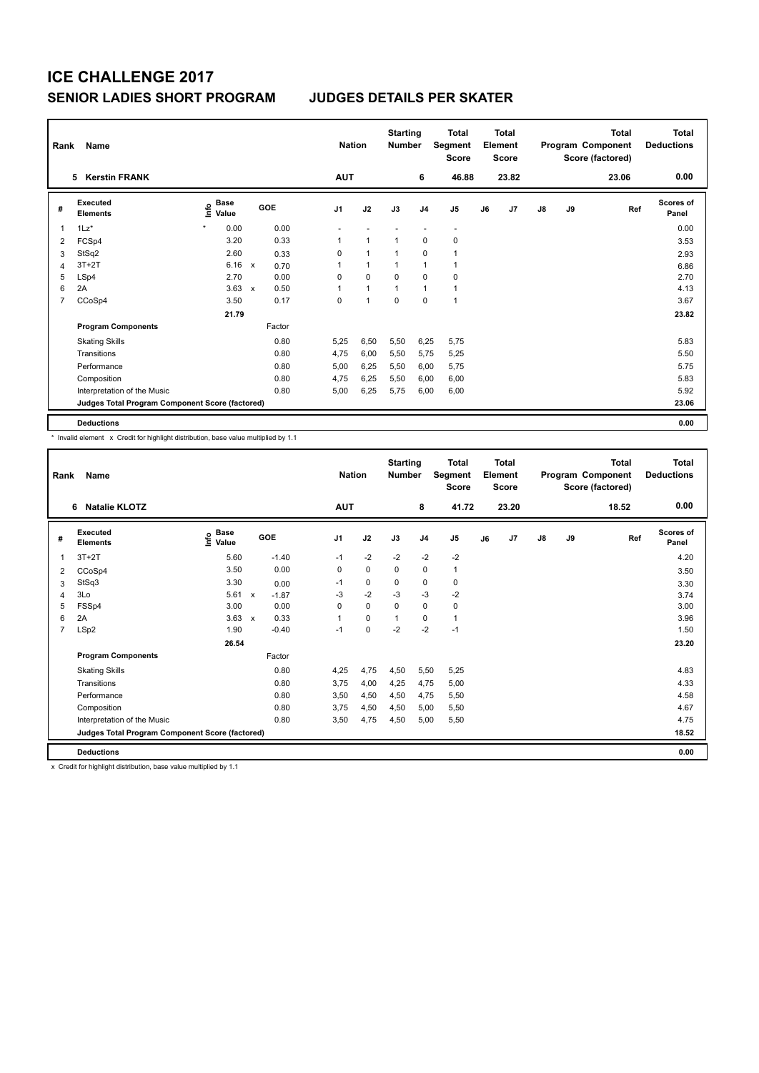|   | Rank<br>Name                                    |                              |                           |                |              | <b>Starting</b><br><b>Number</b> |                | Total<br>Segment<br><b>Score</b> |    | <b>Total</b><br>Element<br><b>Score</b> |               |    | <b>Total</b><br>Program Component<br>Score (factored) | <b>Total</b><br><b>Deductions</b> |
|---|-------------------------------------------------|------------------------------|---------------------------|----------------|--------------|----------------------------------|----------------|----------------------------------|----|-----------------------------------------|---------------|----|-------------------------------------------------------|-----------------------------------|
|   | <b>Kerstin FRANK</b><br>5                       |                              |                           | <b>AUT</b>     |              |                                  | 6              | 46.88                            |    | 23.82                                   |               |    | 23.06                                                 | 0.00                              |
| # | Executed<br><b>Elements</b>                     | <b>Base</b><br>١nfo<br>Value | <b>GOE</b>                | J <sub>1</sub> | J2           | J3                               | J <sub>4</sub> | J <sub>5</sub>                   | J6 | J7                                      | $\mathsf{J}8$ | J9 | Ref                                                   | Scores of<br>Panel                |
|   | $1\text{Lz}^*$                                  | 0.00                         |                           | 0.00           |              |                                  |                | $\overline{\phantom{a}}$         |    |                                         |               |    |                                                       | 0.00                              |
| 2 | FCSp4                                           | 3.20                         |                           | 0.33<br>1      | 1            | 1                                | 0              | 0                                |    |                                         |               |    |                                                       | 3.53                              |
| 3 | StSq2                                           | 2.60                         |                           | 0<br>0.33      | 1            | $\mathbf{1}$                     | 0              |                                  |    |                                         |               |    |                                                       | 2.93                              |
| 4 | $3T+2T$                                         | 6.16                         | $\boldsymbol{\mathsf{x}}$ | 1<br>0.70      | $\mathbf{1}$ | 1                                | $\overline{1}$ |                                  |    |                                         |               |    |                                                       | 6.86                              |
| 5 | LSp4                                            | 2.70                         |                           | 0.00<br>0      | 0            | $\Omega$                         | $\Omega$       | 0                                |    |                                         |               |    |                                                       | 2.70                              |
| 6 | 2A                                              | 3.63                         | $\mathsf{x}$              | 0.50           | $\mathbf{1}$ | 1                                | $\overline{1}$ | $\overline{1}$                   |    |                                         |               |    |                                                       | 4.13                              |
| 7 | CCoSp4                                          | 3.50                         |                           | 0.17<br>0      | 1            | $\mathbf 0$                      | $\mathbf 0$    | 1                                |    |                                         |               |    |                                                       | 3.67                              |
|   |                                                 | 21.79                        |                           |                |              |                                  |                |                                  |    |                                         |               |    |                                                       | 23.82                             |
|   | <b>Program Components</b>                       |                              | Factor                    |                |              |                                  |                |                                  |    |                                         |               |    |                                                       |                                   |
|   | <b>Skating Skills</b>                           |                              |                           | 0.80<br>5,25   | 6,50         | 5,50                             | 6,25           | 5,75                             |    |                                         |               |    |                                                       | 5.83                              |
|   | Transitions                                     |                              |                           | 0.80<br>4,75   | 6,00         | 5,50                             | 5,75           | 5,25                             |    |                                         |               |    |                                                       | 5.50                              |
|   | Performance                                     |                              |                           | 0.80<br>5,00   | 6,25         | 5,50                             | 6,00           | 5,75                             |    |                                         |               |    |                                                       | 5.75                              |
|   | Composition                                     |                              |                           | 0.80<br>4,75   | 6,25         | 5,50                             | 6,00           | 6,00                             |    |                                         |               |    |                                                       | 5.83                              |
|   | Interpretation of the Music                     |                              |                           | 0.80<br>5,00   | 6,25         | 5,75                             | 6,00           | 6,00                             |    |                                         |               |    |                                                       | 5.92                              |
|   | Judges Total Program Component Score (factored) |                              |                           |                |              |                                  |                |                                  |    |                                         |               |    |                                                       | 23.06                             |
|   | <b>Deductions</b>                               |                              |                           |                |              |                                  |                |                                  |    |                                         |               |    |                                                       | 0.00                              |

\* Invalid element x Credit for highlight distribution, base value multiplied by 1.1

| Rank           | Name                                            |                                  |                           |         |                | <b>Nation</b> | <b>Starting</b><br><b>Number</b> |                | <b>Total</b><br>Segment<br><b>Score</b> |    | <b>Total</b><br>Element<br><b>Score</b> |               |    | Total<br>Program Component<br>Score (factored) | <b>Total</b><br><b>Deductions</b> |
|----------------|-------------------------------------------------|----------------------------------|---------------------------|---------|----------------|---------------|----------------------------------|----------------|-----------------------------------------|----|-----------------------------------------|---------------|----|------------------------------------------------|-----------------------------------|
|                | <b>Natalie KLOTZ</b><br>6                       |                                  |                           |         | <b>AUT</b>     |               |                                  | 8              | 41.72                                   |    | 23.20                                   |               |    | 18.52                                          | 0.00                              |
| #              | Executed<br><b>Elements</b>                     | <b>Base</b><br>e Base<br>⊆ Value |                           | GOE     | J <sub>1</sub> | J2            | J3                               | J <sub>4</sub> | J <sub>5</sub>                          | J6 | J7                                      | $\mathsf{J}8$ | J9 | Ref                                            | <b>Scores of</b><br>Panel         |
| 1              | $3T+2T$                                         | 5.60                             |                           | $-1.40$ | $-1$           | $-2$          | $-2$                             | $-2$           | $-2$                                    |    |                                         |               |    |                                                | 4.20                              |
| 2              | CCoSp4                                          | 3.50                             |                           | 0.00    | $\mathbf 0$    | $\mathbf 0$   | $\mathbf 0$                      | $\mathbf 0$    | $\mathbf{1}$                            |    |                                         |               |    |                                                | 3.50                              |
| 3              | StSq3                                           | 3.30                             |                           | 0.00    | $-1$           | $\mathbf 0$   | 0                                | $\pmb{0}$      | $\mathbf 0$                             |    |                                         |               |    |                                                | 3.30                              |
| $\overline{4}$ | 3Lo                                             | 5.61                             | $\mathsf{x}$              | $-1.87$ | $-3$           | $-2$          | $-3$                             | $-3$           | $-2$                                    |    |                                         |               |    |                                                | 3.74                              |
| 5              | FSSp4                                           | 3.00                             |                           | 0.00    | 0              | $\mathbf 0$   | $\mathbf 0$                      | $\mathbf 0$    | 0                                       |    |                                         |               |    |                                                | 3.00                              |
| 6              | 2A                                              | 3.63                             | $\boldsymbol{\mathsf{x}}$ | 0.33    |                | $\mathbf 0$   | $\mathbf{1}$                     | $\mathbf 0$    | $\mathbf{1}$                            |    |                                         |               |    |                                                | 3.96                              |
| 7              | LSp2                                            | 1.90                             |                           | $-0.40$ | $-1$           | $\mathbf 0$   | $-2$                             | $-2$           | $-1$                                    |    |                                         |               |    |                                                | 1.50                              |
|                |                                                 | 26.54                            |                           |         |                |               |                                  |                |                                         |    |                                         |               |    |                                                | 23.20                             |
|                | <b>Program Components</b>                       |                                  |                           | Factor  |                |               |                                  |                |                                         |    |                                         |               |    |                                                |                                   |
|                | <b>Skating Skills</b>                           |                                  |                           | 0.80    | 4.25           | 4,75          | 4,50                             | 5,50           | 5,25                                    |    |                                         |               |    |                                                | 4.83                              |
|                | Transitions                                     |                                  |                           | 0.80    | 3,75           | 4,00          | 4,25                             | 4,75           | 5,00                                    |    |                                         |               |    |                                                | 4.33                              |
|                | Performance                                     |                                  |                           | 0.80    | 3,50           | 4,50          | 4,50                             | 4,75           | 5,50                                    |    |                                         |               |    |                                                | 4.58                              |
|                | Composition                                     |                                  |                           | 0.80    | 3.75           | 4,50          | 4,50                             | 5,00           | 5,50                                    |    |                                         |               |    |                                                | 4.67                              |
|                | Interpretation of the Music                     |                                  |                           | 0.80    | 3,50           | 4,75          | 4,50                             | 5,00           | 5,50                                    |    |                                         |               |    |                                                | 4.75                              |
|                | Judges Total Program Component Score (factored) |                                  |                           |         |                |               |                                  |                |                                         |    |                                         |               |    |                                                | 18.52                             |
|                | <b>Deductions</b>                               |                                  |                           |         |                |               |                                  |                |                                         |    |                                         |               |    |                                                | 0.00                              |

x Credit for highlight distribution, base value multiplied by 1.1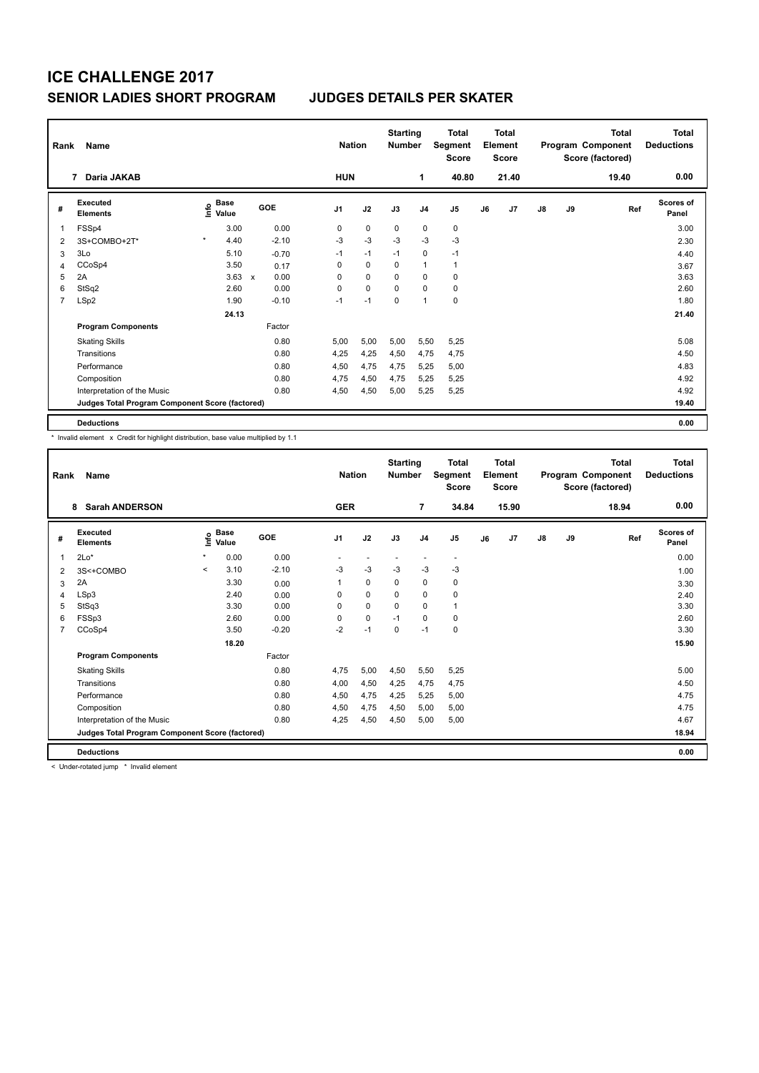|                | Rank<br>Name                                    |                                  |              |         | <b>Nation</b>  | <b>Starting</b><br><b>Number</b> |          | <b>Total</b><br>Segment<br><b>Score</b> |              | <b>Total</b><br>Element<br><b>Score</b> |       |               | <b>Total</b><br>Program Component<br>Score (factored) | Total<br><b>Deductions</b> |                    |
|----------------|-------------------------------------------------|----------------------------------|--------------|---------|----------------|----------------------------------|----------|-----------------------------------------|--------------|-----------------------------------------|-------|---------------|-------------------------------------------------------|----------------------------|--------------------|
|                | Daria JAKAB<br>7                                |                                  |              |         | <b>HUN</b>     |                                  |          | 1                                       | 40.80        |                                         | 21.40 |               |                                                       | 19.40                      | 0.00               |
| #              | Executed<br><b>Elements</b>                     | <b>Base</b><br>o Base<br>⊆ Value |              | GOE     | J <sub>1</sub> | J2                               | J3       | J <sub>4</sub>                          | J5           | J6                                      | J7    | $\mathsf{J}8$ | J9                                                    | Ref                        | Scores of<br>Panel |
| 1              | FSSp4                                           | 3.00                             |              | 0.00    | 0              | $\mathbf 0$                      | 0        | 0                                       | 0            |                                         |       |               |                                                       |                            | 3.00               |
| 2              | 3S+COMBO+2T*                                    | $\star$<br>4.40                  |              | $-2.10$ | $-3$           | $-3$                             | $-3$     | $-3$                                    | $-3$         |                                         |       |               |                                                       |                            | 2.30               |
| 3              | 3Lo                                             | 5.10                             |              | $-0.70$ | $-1$           | $-1$                             | $-1$     | 0                                       | $-1$         |                                         |       |               |                                                       |                            | 4.40               |
| 4              | CCoSp4                                          | 3.50                             |              | 0.17    | 0              | $\mathbf 0$                      | 0        | $\overline{1}$                          | $\mathbf{1}$ |                                         |       |               |                                                       |                            | 3.67               |
| 5              | 2A                                              | 3.63                             | $\mathsf{x}$ | 0.00    | 0              | $\mathbf 0$                      | $\Omega$ | 0                                       | 0            |                                         |       |               |                                                       |                            | 3.63               |
| 6              | StSq2                                           | 2.60                             |              | 0.00    | 0              | $\mathbf 0$                      | 0        | $\mathbf 0$                             | $\pmb{0}$    |                                         |       |               |                                                       |                            | 2.60               |
| $\overline{7}$ | LSp2                                            | 1.90                             |              | $-0.10$ | $-1$           | $-1$                             | 0        | $\overline{1}$                          | $\pmb{0}$    |                                         |       |               |                                                       |                            | 1.80               |
|                |                                                 | 24.13                            |              |         |                |                                  |          |                                         |              |                                         |       |               |                                                       |                            | 21.40              |
|                | <b>Program Components</b>                       |                                  |              | Factor  |                |                                  |          |                                         |              |                                         |       |               |                                                       |                            |                    |
|                | <b>Skating Skills</b>                           |                                  |              | 0.80    | 5.00           | 5,00                             | 5,00     | 5,50                                    | 5,25         |                                         |       |               |                                                       |                            | 5.08               |
|                | Transitions                                     |                                  |              | 0.80    | 4,25           | 4,25                             | 4,50     | 4,75                                    | 4,75         |                                         |       |               |                                                       |                            | 4.50               |
|                | Performance                                     |                                  |              | 0.80    | 4,50           | 4,75                             | 4.75     | 5,25                                    | 5,00         |                                         |       |               |                                                       |                            | 4.83               |
|                | Composition                                     |                                  |              | 0.80    | 4,75           | 4,50                             | 4,75     | 5,25                                    | 5,25         |                                         |       |               |                                                       |                            | 4.92               |
|                | Interpretation of the Music                     |                                  |              | 0.80    | 4,50           | 4,50                             | 5,00     | 5,25                                    | 5,25         |                                         |       |               |                                                       |                            | 4.92               |
|                | Judges Total Program Component Score (factored) |                                  |              |         |                |                                  |          |                                         |              |                                         |       |               |                                                       |                            | 19.40              |
|                | <b>Deductions</b>                               |                                  |              |         |                |                                  |          |                                         |              |                                         |       |               |                                                       |                            | 0.00               |

\* Invalid element x Credit for highlight distribution, base value multiplied by 1.1

|                | Name<br>Rank                                    |         |                      |         |                | <b>Nation</b> | <b>Starting</b><br><b>Number</b> |                          | <b>Total</b><br>Segment<br><b>Score</b> |    | Total<br>Element<br><b>Score</b> |    |    | Total<br>Program Component<br>Score (factored) | <b>Total</b><br><b>Deductions</b> |
|----------------|-------------------------------------------------|---------|----------------------|---------|----------------|---------------|----------------------------------|--------------------------|-----------------------------------------|----|----------------------------------|----|----|------------------------------------------------|-----------------------------------|
|                | <b>Sarah ANDERSON</b><br>8                      |         |                      |         | <b>GER</b>     |               |                                  | $\overline{7}$           | 34.84                                   |    | 15.90                            |    |    | 18.94                                          | 0.00                              |
| #              | <b>Executed</b><br><b>Elements</b>              | ۴ů      | <b>Base</b><br>Value | GOE     | J <sub>1</sub> | J2            | J3                               | J <sub>4</sub>           | J <sub>5</sub>                          | J6 | J <sub>7</sub>                   | J8 | J9 | Ref                                            | <b>Scores of</b><br>Panel         |
| 1              | $2Lo*$                                          | $\star$ | 0.00                 | 0.00    |                |               |                                  | $\overline{\phantom{a}}$ | $\overline{\phantom{a}}$                |    |                                  |    |    |                                                | 0.00                              |
| $\overline{2}$ | 3S<+COMBO                                       | $\prec$ | 3.10                 | $-2.10$ | $-3$           | $-3$          | $-3$                             | $-3$                     | $-3$                                    |    |                                  |    |    |                                                | 1.00                              |
| 3              | 2A                                              |         | 3.30                 | 0.00    |                | $\Omega$      | 0                                | 0                        | 0                                       |    |                                  |    |    |                                                | 3.30                              |
| 4              | LSp3                                            |         | 2.40                 | 0.00    | $\Omega$       | $\Omega$      | $\Omega$                         | $\mathbf 0$              | 0                                       |    |                                  |    |    |                                                | 2.40                              |
| 5              | StSq3                                           |         | 3.30                 | 0.00    | 0              | 0             | 0                                | 0                        | $\mathbf{1}$                            |    |                                  |    |    |                                                | 3.30                              |
| 6              | FSSp3                                           |         | 2.60                 | 0.00    | $\Omega$       | 0             | $-1$                             | 0                        | 0                                       |    |                                  |    |    |                                                | 2.60                              |
| 7              | CCoSp4                                          |         | 3.50                 | $-0.20$ | $-2$           | $-1$          | 0                                | $-1$                     | 0                                       |    |                                  |    |    |                                                | 3.30                              |
|                |                                                 |         | 18.20                |         |                |               |                                  |                          |                                         |    |                                  |    |    |                                                | 15.90                             |
|                | <b>Program Components</b>                       |         |                      | Factor  |                |               |                                  |                          |                                         |    |                                  |    |    |                                                |                                   |
|                | <b>Skating Skills</b>                           |         |                      | 0.80    | 4.75           | 5,00          | 4,50                             | 5,50                     | 5.25                                    |    |                                  |    |    |                                                | 5.00                              |
|                | Transitions                                     |         |                      | 0.80    | 4,00           | 4,50          | 4,25                             | 4.75                     | 4,75                                    |    |                                  |    |    |                                                | 4.50                              |
|                | Performance                                     |         |                      | 0.80    | 4,50           | 4,75          | 4,25                             | 5.25                     | 5,00                                    |    |                                  |    |    |                                                | 4.75                              |
|                | Composition                                     |         |                      | 0.80    | 4,50           | 4,75          | 4,50                             | 5.00                     | 5,00                                    |    |                                  |    |    |                                                | 4.75                              |
|                | Interpretation of the Music                     |         |                      | 0.80    | 4,25           | 4,50          | 4,50                             | 5,00                     | 5.00                                    |    |                                  |    |    |                                                | 4.67                              |
|                | Judges Total Program Component Score (factored) |         |                      |         |                |               |                                  |                          |                                         |    |                                  |    |    |                                                | 18.94                             |
|                | <b>Deductions</b>                               |         |                      |         |                |               |                                  |                          |                                         |    |                                  |    |    |                                                | 0.00                              |

< Under-rotated jump \* Invalid element